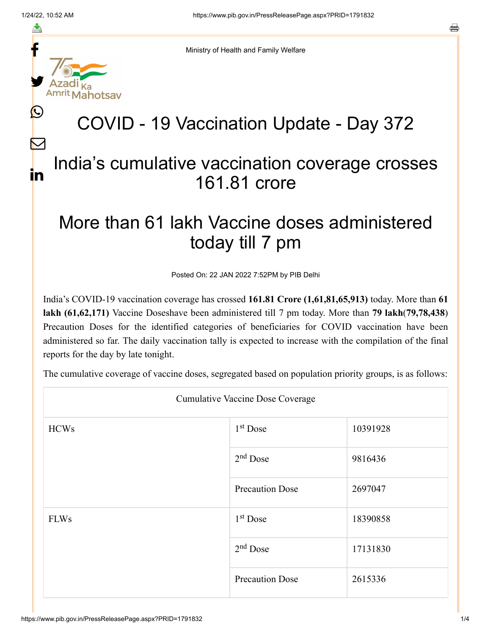f

≛

y.

 $\bigcirc$ 

 $\bm{\nabla}$ 

in

Ministry of Health and Family Welfare

# COVID - 19 Vaccination Update - Day 372

### India's cumulative vaccination coverage crosses 161.81 crore

## More than 61 lakh Vaccine doses administered today till 7 pm

Posted On: 22 JAN 2022 7:52PM by PIB Delhi

India's COVID-19 vaccination coverage has crossed **161.81 Crore (1,61,81,65,913)** today. More than **61 lakh (61,62,171)** Vaccine Doseshave been administered till 7 pm today. More than **79 lakh**(**79,78,438**) Precaution Doses for the identified categories of beneficiaries for COVID vaccination have been administered so far. The daily vaccination tally is expected to increase with the compilation of the final reports for the day by late tonight.

The cumulative coverage of vaccine doses, segregated based on population priority groups, is as follows:

| <b>Cumulative Vaccine Dose Coverage</b> |                        |          |  |
|-----------------------------------------|------------------------|----------|--|
| <b>HCWs</b>                             | $1st$ Dose             | 10391928 |  |
|                                         | $2nd$ Dose             | 9816436  |  |
|                                         | <b>Precaution Dose</b> | 2697047  |  |
| <b>FLWs</b>                             | $1st$ Dose             | 18390858 |  |
|                                         | $2nd$ Dose             | 17131830 |  |
|                                         | <b>Precaution Dose</b> | 2615336  |  |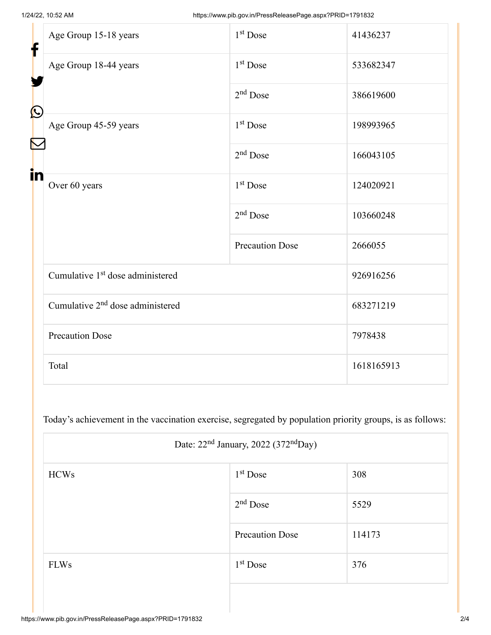| f            | Age Group 15-18 years                        | 1 <sup>st</sup> Dose   | 41436237   |  |
|--------------|----------------------------------------------|------------------------|------------|--|
|              | Age Group 18-44 years                        | 1 <sup>st</sup> Dose   | 533682347  |  |
| $\bf \Omega$ |                                              | $2nd$ Dose             | 386619600  |  |
|              | Age Group 45-59 years                        | 1 <sup>st</sup> Dose   | 198993965  |  |
|              |                                              | $2nd$ Dose             | 166043105  |  |
| in           | Over 60 years                                | $1st$ Dose             | 124020921  |  |
|              |                                              | $2nd$ Dose             | 103660248  |  |
|              |                                              | <b>Precaution Dose</b> | 2666055    |  |
|              | Cumulative 1 <sup>st</sup> dose administered |                        | 926916256  |  |
|              | Cumulative 2 <sup>nd</sup> dose administered |                        | 683271219  |  |
|              | <b>Precaution Dose</b>                       |                        | 7978438    |  |
|              | Total                                        |                        | 1618165913 |  |

Today's achievement in the vaccination exercise, segregated by population priority groups, is as follows:

| Date: $22nd$ January, 2022 (372 <sup>nd</sup> Day) |                        |        |  |
|----------------------------------------------------|------------------------|--------|--|
| <b>HCWs</b>                                        | $1st$ Dose             | 308    |  |
|                                                    | $2nd$ Dose             | 5529   |  |
|                                                    | <b>Precaution Dose</b> | 114173 |  |
| <b>FLWs</b>                                        | $1st$ Dose             | 376    |  |
|                                                    |                        |        |  |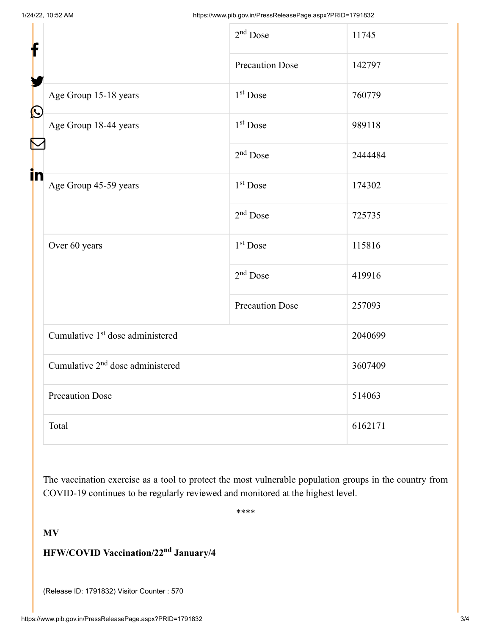| f          |                                              | $2nd$ Dose             | 11745   |
|------------|----------------------------------------------|------------------------|---------|
|            |                                              | <b>Precaution Dose</b> | 142797  |
| $\bigcirc$ | Age Group 15-18 years                        | $1st$ Dose             | 760779  |
|            | Age Group 18-44 years                        | $1st$ Dose             | 989118  |
|            |                                              | $2nd$ Dose             | 2444484 |
| in         | Age Group 45-59 years                        | $1st$ Dose             | 174302  |
|            |                                              | $2nd$ Dose             | 725735  |
|            | Over 60 years                                | $1st$ Dose             | 115816  |
|            |                                              | $2nd$ Dose             | 419916  |
|            |                                              | <b>Precaution Dose</b> | 257093  |
|            | Cumulative 1 <sup>st</sup> dose administered |                        | 2040699 |
|            | Cumulative 2 <sup>nd</sup> dose administered |                        | 3607409 |
|            | <b>Precaution Dose</b>                       |                        | 514063  |
|            | Total                                        |                        | 6162171 |

The vaccination exercise as a tool to protect the most vulnerable population groups in the country from COVID-19 continues to be regularly reviewed and monitored at the highest level.

\*\*\*\*

#### **MV**

#### **HFW/COVID Vaccination/22<sup>nd</sup> January/4**

(Release ID: 1791832) Visitor Counter : 570